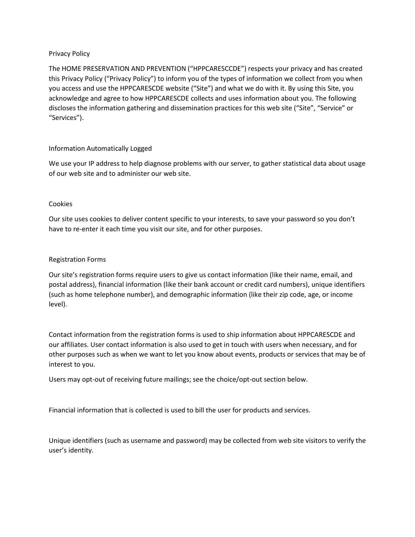# Privacy Policy

The HOME PRESERVATION AND PREVENTION ("HPPCARESCCDE") respects your privacy and has created this Privacy Policy ("Privacy Policy") to inform you of the types of information we collect from you when you access and use the HPPCARESCDE website ("Site") and what we do with it. By using this Site, you acknowledge and agree to how HPPCARESCDE collects and uses information about you. The following discloses the information gathering and dissemination practices for this web site ("Site", "Service" or "Services").

# Information Automatically Logged

We use your IP address to help diagnose problems with our server, to gather statistical data about usage of our web site and to administer our web site.

#### Cookies

Our site uses cookies to deliver content specific to your interests, to save your password so you don't have to re-enter it each time you visit our site, and for other purposes.

# Registration Forms

Our site's registration forms require users to give us contact information (like their name, email, and postal address), financial information (like their bank account or credit card numbers), unique identifiers (such as home telephone number), and demographic information (like their zip code, age, or income level).

Contact information from the registration forms is used to ship information about HPPCARESCDE and our affiliates. User contact information is also used to get in touch with users when necessary, and for other purposes such as when we want to let you know about events, products or services that may be of interest to you.

Users may opt-out of receiving future mailings; see the choice/opt-out section below.

Financial information that is collected is used to bill the user for products and services.

Unique identifiers (such as username and password) may be collected from web site visitors to verify the user's identity.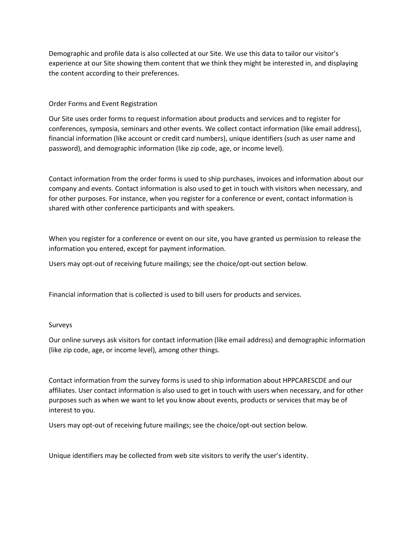Demographic and profile data is also collected at our Site. We use this data to tailor our visitor's experience at our Site showing them content that we think they might be interested in, and displaying the content according to their preferences.

Order Forms and Event Registration

Our Site uses order forms to request information about products and services and to register for conferences, symposia, seminars and other events. We collect contact information (like email address), financial information (like account or credit card numbers), unique identifiers (such as user name and password), and demographic information (like zip code, age, or income level).

Contact information from the order forms is used to ship purchases, invoices and information about our company and events. Contact information is also used to get in touch with visitors when necessary, and for other purposes. For instance, when you register for a conference or event, contact information is shared with other conference participants and with speakers.

When you register for a conference or event on our site, you have granted us permission to release the information you entered, except for payment information.

Users may opt-out of receiving future mailings; see the choice/opt-out section below.

Financial information that is collected is used to bill users for products and services.

# Surveys

Our online surveys ask visitors for contact information (like email address) and demographic information (like zip code, age, or income level), among other things.

Contact information from the survey forms is used to ship information about HPPCARESCDE and our affiliates. User contact information is also used to get in touch with users when necessary, and for other purposes such as when we want to let you know about events, products or services that may be of interest to you.

Users may opt-out of receiving future mailings; see the choice/opt-out section below.

Unique identifiers may be collected from web site visitors to verify the user's identity.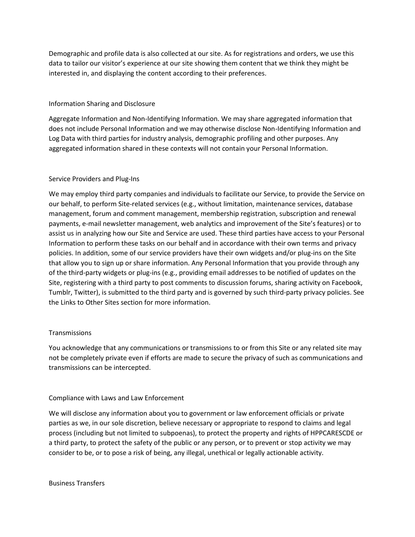Demographic and profile data is also collected at our site. As for registrations and orders, we use this data to tailor our visitor's experience at our site showing them content that we think they might be interested in, and displaying the content according to their preferences.

# Information Sharing and Disclosure

Aggregate Information and Non-Identifying Information. We may share aggregated information that does not include Personal Information and we may otherwise disclose Non-Identifying Information and Log Data with third parties for industry analysis, demographic profiling and other purposes. Any aggregated information shared in these contexts will not contain your Personal Information.

# Service Providers and Plug-Ins

We may employ third party companies and individuals to facilitate our Service, to provide the Service on our behalf, to perform Site-related services (e.g., without limitation, maintenance services, database management, forum and comment management, membership registration, subscription and renewal payments, e-mail newsletter management, web analytics and improvement of the Site's features) or to assist us in analyzing how our Site and Service are used. These third parties have access to your Personal Information to perform these tasks on our behalf and in accordance with their own terms and privacy policies. In addition, some of our service providers have their own widgets and/or plug-ins on the Site that allow you to sign up or share information. Any Personal Information that you provide through any of the third-party widgets or plug-ins (e.g., providing email addresses to be notified of updates on the Site, registering with a third party to post comments to discussion forums, sharing activity on Facebook, Tumblr, Twitter), is submitted to the third party and is governed by such third-party privacy policies. See the Links to Other Sites section for more information.

#### **Transmissions**

You acknowledge that any communications or transmissions to or from this Site or any related site may not be completely private even if efforts are made to secure the privacy of such as communications and transmissions can be intercepted.

# Compliance with Laws and Law Enforcement

We will disclose any information about you to government or law enforcement officials or private parties as we, in our sole discretion, believe necessary or appropriate to respond to claims and legal process (including but not limited to subpoenas), to protect the property and rights of HPPCARESCDE or a third party, to protect the safety of the public or any person, or to prevent or stop activity we may consider to be, or to pose a risk of being, any illegal, unethical or legally actionable activity.

Business Transfers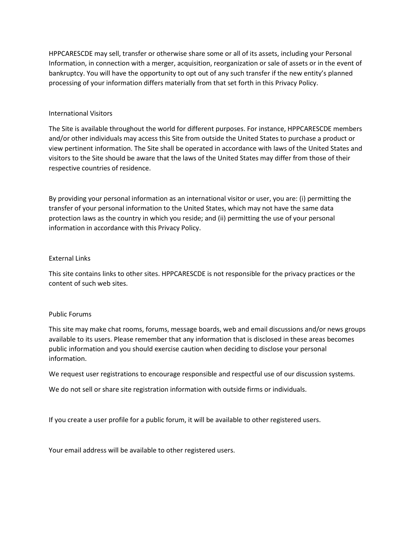HPPCARESCDE may sell, transfer or otherwise share some or all of its assets, including your Personal Information, in connection with a merger, acquisition, reorganization or sale of assets or in the event of bankruptcy. You will have the opportunity to opt out of any such transfer if the new entity's planned processing of your information differs materially from that set forth in this Privacy Policy.

# International Visitors

The Site is available throughout the world for different purposes. For instance, HPPCARESCDE members and/or other individuals may access this Site from outside the United States to purchase a product or view pertinent information. The Site shall be operated in accordance with laws of the United States and visitors to the Site should be aware that the laws of the United States may differ from those of their respective countries of residence.

By providing your personal information as an international visitor or user, you are: (i) permitting the transfer of your personal information to the United States, which may not have the same data protection laws as the country in which you reside; and (ii) permitting the use of your personal information in accordance with this Privacy Policy.

# External Links

This site contains links to other sites. HPPCARESCDE is not responsible for the privacy practices or the content of such web sites.

# Public Forums

This site may make chat rooms, forums, message boards, web and email discussions and/or news groups available to its users. Please remember that any information that is disclosed in these areas becomes public information and you should exercise caution when deciding to disclose your personal information.

We request user registrations to encourage responsible and respectful use of our discussion systems.

We do not sell or share site registration information with outside firms or individuals.

If you create a user profile for a public forum, it will be available to other registered users.

Your email address will be available to other registered users.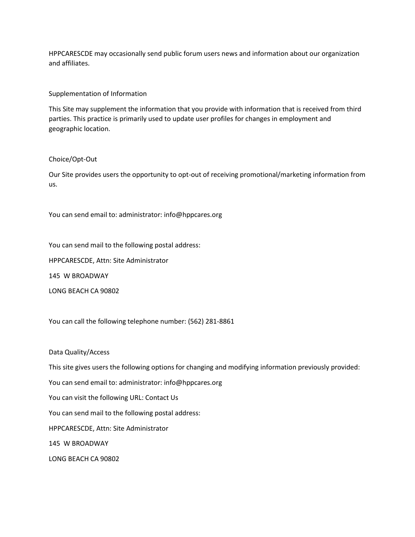HPPCARESCDE may occasionally send public forum users news and information about our organization and affiliates.

#### Supplementation of Information

This Site may supplement the information that you provide with information that is received from third parties. This practice is primarily used to update user profiles for changes in employment and geographic location.

#### Choice/Opt-Out

Our Site provides users the opportunity to opt-out of receiving promotional/marketing information from us.

You can send email to: administrator: info@hppcares.org

You can send mail to the following postal address:

HPPCARESCDE, Attn: Site Administrator

145 W BROADWAY

LONG BEACH CA 90802

You can call the following telephone number: (562) 281-8861

Data Quality/Access

This site gives users the following options for changing and modifying information previously provided:

You can send email to: administrator: info@hppcares.org

You can visit the following URL: Contact Us

You can send mail to the following postal address:

HPPCARESCDE, Attn: Site Administrator

145 W BROADWAY

LONG BEACH CA 90802